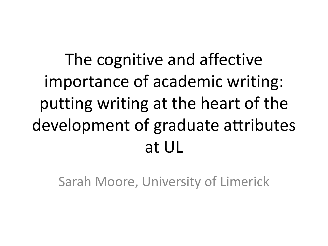The cognitive and affective importance of academic writing: putting writing at the heart of the development of graduate attributes at UL

Sarah Moore, University of Limerick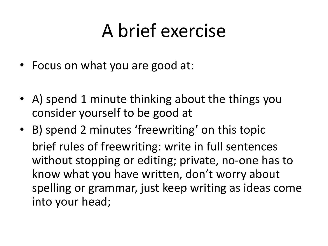#### A brief exercise

- Focus on what you are good at:
- A) spend 1 minute thinking about the things you consider yourself to be good at
- B) spend 2 minutes 'freewriting' on this topic brief rules of freewriting: write in full sentences without stopping or editing; private, no-one has to know what you have written, don't worry about spelling or grammar, just keep writing as ideas come into your head;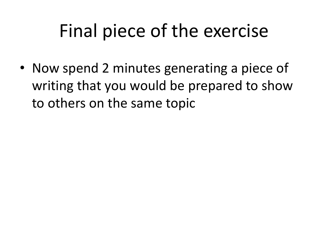## Final piece of the exercise

• Now spend 2 minutes generating a piece of writing that you would be prepared to show to others on the same topic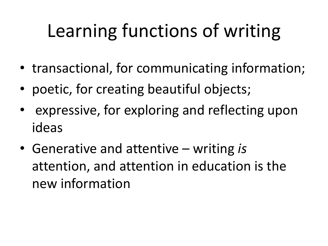# Learning functions of writing

- transactional, for communicating information;
- poetic, for creating beautiful objects;
- expressive, for exploring and reflecting upon ideas
- Generative and attentive writing *is* attention, and attention in education is the new information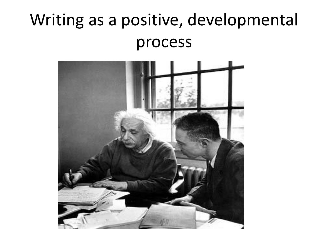#### Writing as a positive, developmental process

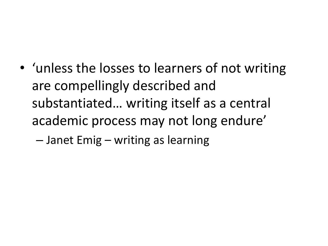• 'unless the losses to learners of not writing are compellingly described and substantiated… writing itself as a central academic process may not long endure'

– Janet Emig – writing as learning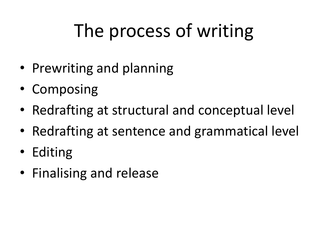# The process of writing

- Prewriting and planning
- Composing
- Redrafting at structural and conceptual level
- Redrafting at sentence and grammatical level
- Editing
- Finalising and release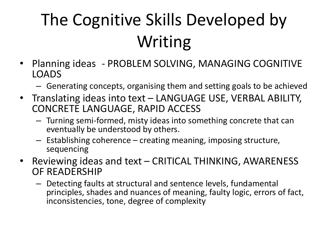## The Cognitive Skills Developed by Writing

- Planning ideas PROBLEM SOLVING, MANAGING COGNITIVE LOADS
	- Generating concepts, organising them and setting goals to be achieved
- Translating ideas into text LANGUAGE USE, VERBAL ABILITY, CONCRETE LANGUAGE, RAPID ACCESS
	- Turning semi-formed, misty ideas into something concrete that can eventually be understood by others.
	- Establishing coherence creating meaning, imposing structure, sequencing
- Reviewing ideas and text CRITICAL THINKING, AWARENESS OF READERSHIP
	- Detecting faults at structural and sentence levels, fundamental principles, shades and nuances of meaning, faulty logic, errors of fact, inconsistencies, tone, degree of complexity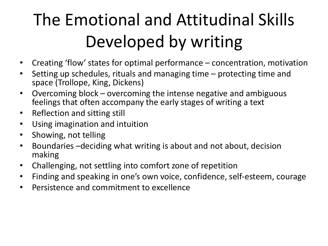## The Emotional and Attitudinal Skills Developed by writing

- Creating 'flow' states for optimal performance concentration, motivation
- Setting up schedules, rituals and managing time protecting time and space (Trollope, King, Dickens)
- Overcoming block overcoming the intense negative and ambiguous feelings that often accompany the early stages of writing a text
- Reflection and sitting still
- Using imagination and intuition
- Showing, not telling
- Boundaries –deciding what writing is about and not about, decision making
- Challenging, not settling into comfort zone of repetition
- Finding and speaking in one's own voice, confidence, self-esteem, courage
- Persistence and commitment to excellence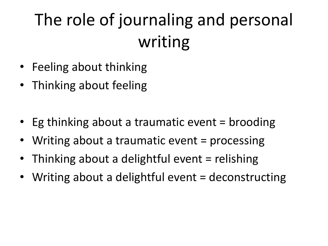#### The role of journaling and personal writing

- Feeling about thinking
- Thinking about feeling
- Eg thinking about a traumatic event = brooding
- Writing about a traumatic event = processing
- Thinking about a delightful event = relishing
- Writing about a delightful event = deconstructing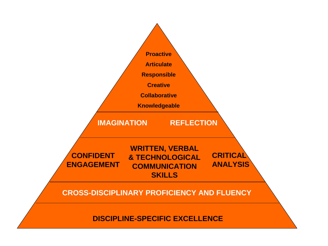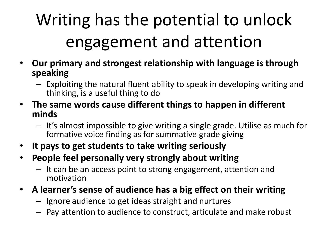## Writing has the potential to unlock engagement and attention

- **Our primary and strongest relationship with language is through speaking**
	- Exploiting the natural fluent ability to speak in developing writing and thinking, is a useful thing to do
- **The same words cause different things to happen in different minds**
	- It's almost impossible to give writing a single grade. Utilise as much for formative voice finding as for summative grade giving
- **It pays to get students to take writing seriously**
- **People feel personally very strongly about writing**
	- It can be an access point to strong engagement, attention and motivation
- **A learner's sense of audience has a big effect on their writing**
	- Ignore audience to get ideas straight and nurtures
	- Pay attention to audience to construct, articulate and make robust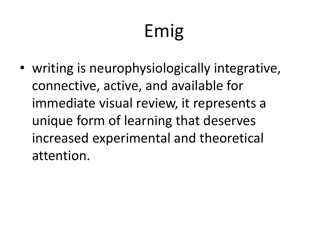# Emig

• writing is neurophysiologically integrative, connective, active, and available for immediate visual review, it represents a unique form of learning that deserves increased experimental and theoretical attention.